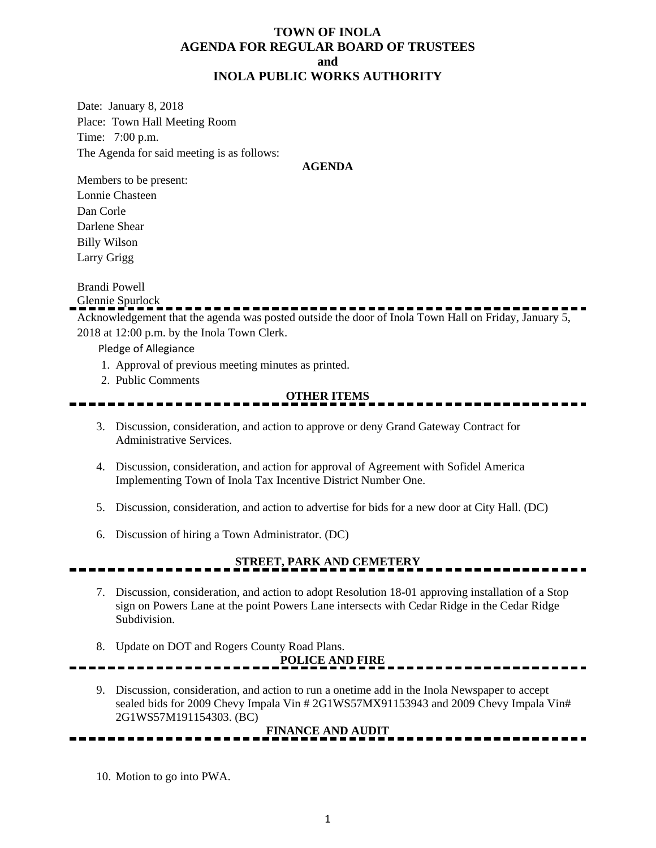### **TOWN OF INOLA AGENDA FOR REGULAR BOARD OF TRUSTEES and INOLA PUBLIC WORKS AUTHORITY**

Date: January 8, 2018 Place: Town Hall Meeting Room Time: 7:00 p.m. The Agenda for said meeting is as follows:

#### **AGENDA**

Members to be present: Lonnie Chasteen Dan Corle Darlene Shear Billy Wilson Larry Grigg

Brandi Powell

Glennie Spurlock

Acknowledgement that the agenda was posted outside the door of Inola Town Hall on Friday, January 5, 2018 at 12:00 p.m. by the Inola Town Clerk.

Pledge of Allegiance

- 1. Approval of previous meeting minutes as printed.
- 2. Public Comments

### **OTHER ITEMS**

- 3. Discussion, consideration, and action to approve or deny Grand Gateway Contract for Administrative Services.
- 4. Discussion, consideration, and action for approval of Agreement with Sofidel America Implementing Town of Inola Tax Incentive District Number One.
- 5. Discussion, consideration, and action to advertise for bids for a new door at City Hall. (DC)
- 6. Discussion of hiring a Town Administrator. (DC)

### **STREET, PARK AND CEMETERY**

- 7. Discussion, consideration, and action to adopt Resolution 18-01 approving installation of a Stop sign on Powers Lane at the point Powers Lane intersects with Cedar Ridge in the Cedar Ridge Subdivision.
- 8. Update on DOT and Rogers County Road Plans.

# **POLICE AND FIRE**

9. Discussion, consideration, and action to run a onetime add in the Inola Newspaper to accept sealed bids for 2009 Chevy Impala Vin # 2G1WS57MX91153943 and 2009 Chevy Impala Vin# 2G1WS57M191154303. (BC)

## **FINANCE AND AUDIT**

10. Motion to go into PWA.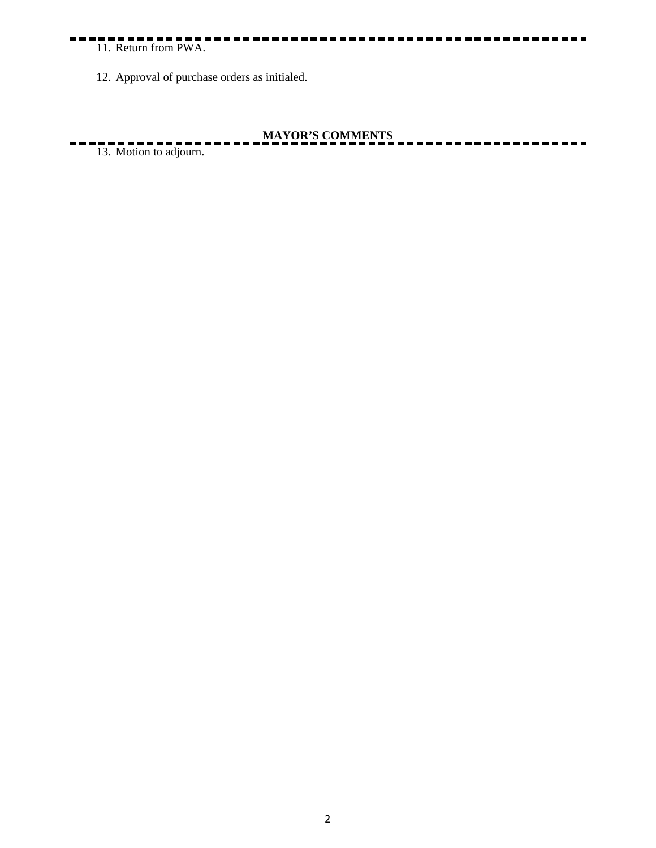11. Return from PWA.

12. Approval of purchase orders as initialed.

### **MAYOR'S COMMENTS**

 $13.$  Motion to adjourn.